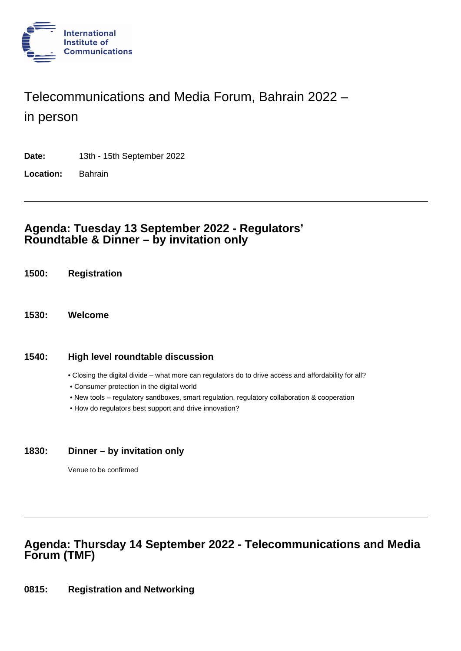

# Telecommunications and Media Forum, Bahrain 2022 –

in person

**Date:** 13th - 15th September 2022

**Location:** Bahrain

### **Agenda: Tuesday 13 September 2022 - Regulators' Roundtable & Dinner – by invitation only**

- **1500: Registration**
- **1530: Welcome**

#### **1540: High level roundtable discussion**

- Closing the digital divide what more can regulators do to drive access and affordability for all?
- Consumer protection in the digital world
- New tools regulatory sandboxes, smart regulation, regulatory collaboration & cooperation
- How do regulators best support and drive innovation?

#### **1830: Dinner – by invitation only**

Venue to be confirmed

# **Agenda: Thursday 14 September 2022 - Telecommunications and Media Forum (TMF)**

**0815: Registration and Networking**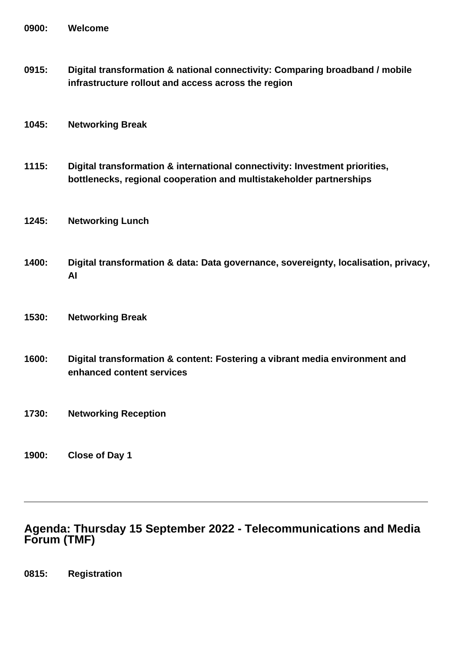**0915: Digital transformation & national connectivity: Comparing broadband / mobile infrastructure rollout and access across the region**

#### **1045: Networking Break**

- **1115: Digital transformation & international connectivity: Investment priorities, bottlenecks, regional cooperation and multistakeholder partnerships**
- **1245: Networking Lunch**
- **1400: Digital transformation & data: Data governance, sovereignty, localisation, privacy, AI**
- **1530: Networking Break**
- **1600: Digital transformation & content: Fostering a vibrant media environment and enhanced content services**
- **1730: Networking Reception**
- **1900: Close of Day 1**

## **Agenda: Thursday 15 September 2022 - Telecommunications and Media Forum (TMF)**

**0815: Registration**